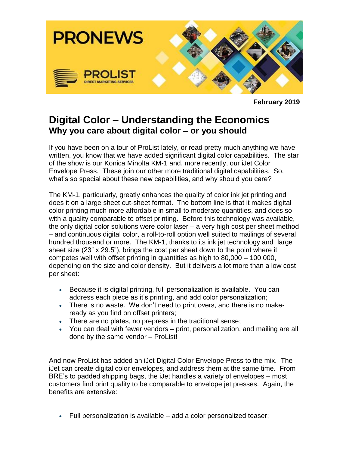

**February 2019**

## **Digital Color – Understanding the Economics Why you care about digital color – or you should**

If you have been on a tour of ProList lately, or read pretty much anything we have written, you know that we have added significant digital color capabilities. The star of the show is our Konica Minolta KM-1 and, more recently, our iJet Color Envelope Press. These join our other more traditional digital capabilities. So, what's so special about these new capabilities, and why should you care?

The KM-1, particularly, greatly enhances the quality of color ink jet printing and does it on a large sheet cut-sheet format. The bottom line is that it makes digital color printing much more affordable in small to moderate quantities, and does so with a quality comparable to offset printing. Before this technology was available, the only digital color solutions were color laser – a very high cost per sheet method – and continuous digital color, a roll-to-roll option well suited to mailings of several hundred thousand or more. The KM-1, thanks to its ink jet technology and large sheet size (23" x 29.5"), brings the cost per sheet down to the point where it competes well with offset printing in quantities as high to 80,000 – 100,000, depending on the size and color density. But it delivers a lot more than a low cost per sheet:

- Because it is digital printing, full personalization is available. You can address each piece as it's printing, and add color personalization;
- There is no waste. We don't need to print overs, and there is no makeready as you find on offset printers;
- There are no plates, no prepress in the traditional sense;
- You can deal with fewer vendors print, personalization, and mailing are all done by the same vendor – ProList!

And now ProList has added an iJet Digital Color Envelope Press to the mix. The iJet can create digital color envelopes, and address them at the same time. From BRE's to padded shipping bags, the iJet handles a variety of envelopes – most customers find print quality to be comparable to envelope jet presses. Again, the benefits are extensive:

Full personalization is available – add a color personalized teaser;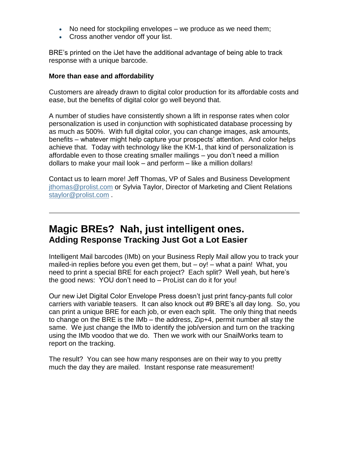- No need for stockpiling envelopes we produce as we need them;
- Cross another vendor off your list.

BRE's printed on the iJet have the additional advantage of being able to track response with a unique barcode.

## **More than ease and affordability**

Customers are already drawn to digital color production for its affordable costs and ease, but the benefits of digital color go well beyond that.

A number of studies have consistently shown a lift in response rates when color personalization is used in conjunction with sophisticated database processing by as much as 500%. With full digital color, you can change images, ask amounts, benefits – whatever might help capture your prospects' attention. And color helps achieve that. Today with technology like the KM-1, that kind of personalization is affordable even to those creating smaller mailings – you don't need a million dollars to make your mail look – and perform – like a million dollars!

Contact us to learn more! Jeff Thomas, VP of Sales and Business Development [jthomas@prolist.com](mailto:jthomas@prolist.com) or Sylvia Taylor, Director of Marketing and Client Relations [staylor@prolist.com](mailto:staylor@prolist.com) .

## **Magic BREs? Nah, just intelligent ones. Adding Response Tracking Just Got a Lot Easier**

Intelligent Mail barcodes (IMb) on your Business Reply Mail allow you to track your mailed-in replies before you even get them, but – oy! – what a pain! What, you need to print a special BRE for each project? Each split? Well yeah, but here's the good news: YOU don't need to – ProList can do it for you!

Our new iJet Digital Color Envelope Press doesn't just print fancy-pants full color carriers with variable teasers. It can also knock out #9 BRE's all day long. So, you can print a unique BRE for each job, or even each split. The only thing that needs to change on the BRE is the IMb – the address, Zip+4, permit number all stay the same. We just change the IMb to identify the job/version and turn on the tracking using the IMb voodoo that we do. Then we work with our SnailWorks team to report on the tracking.

The result? You can see how many responses are on their way to you pretty much the day they are mailed. Instant response rate measurement!